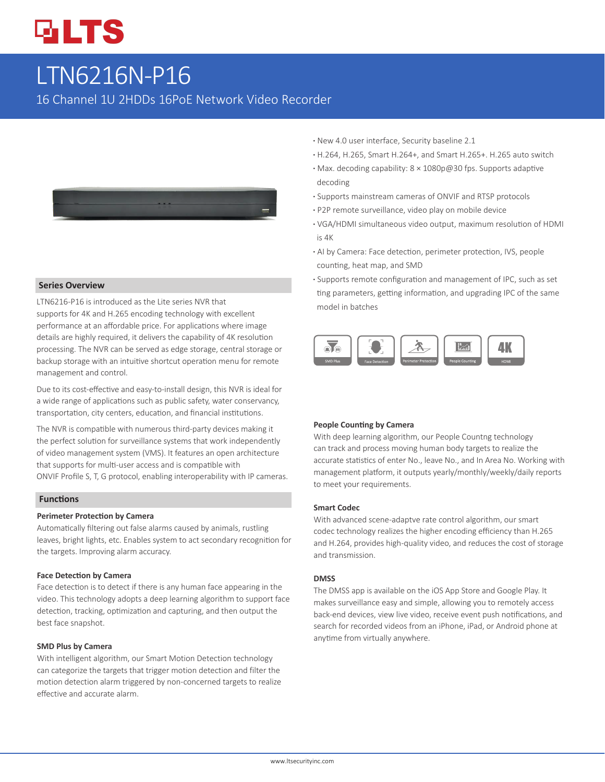# **GLTS**

## LTN6216N-P16

16 Channel 1U 2HDDs 16PoE Network Video Recorder



#### **Series Overview**

LTN6216-P16 is introduced as the Lite series NVR that supports for 4K and H.265 encoding technology with excellent performance at an affordable price. For applications where image details are highly required, it delivers the capability of 4K resolution processing. The NVR can be served as edge storage, central storage or backup storage with an intuitive shortcut operation menu for remote management and control.

Due to its cost-effective and easy-to-install design, this NVR is ideal for a wide range of applications such as public safety, water conservancy, transportation, city centers, education, and financial institutions.

The NVR is compatible with numerous third-party devices making it the perfect solution for surveillance systems that work independently of video management system (VMS). It features an open architecture that supports for multi-user access and is compatible with ONVIF Profile S, T, G protocol, enabling interoperability with IP cameras.

#### **Functions**

#### **Perimeter Protection by Camera**

Automatically filtering out false alarms caused by animals, rustling leaves, bright lights, etc. Enables system to act secondary recognition for the targets. Improving alarm accuracy.

#### **Face Detection by Camera**

Face detection is to detect if there is any human face appearing in the video. This technology adopts a deep learning algorithm to support face detection, tracking, optimization and capturing, and then output the best face snapshot.

#### **SMD Plus by Camera**

With intelligent algorithm, our Smart Motion Detection technology can categorize the targets that trigger motion detection and filter the motion detection alarm triggered by non-concerned targets to realize effective and accurate alarm.

- **·** New 4.0 user interface, Security baseline 2.1
- **·** H.264, H.265, Smart H.264+, and Smart H.265+. H.265 auto switch
- **·** Max. decoding capability: 8 × 1080p@30 fps. Supports adaptive decoding
- **·** Supports mainstream cameras of ONVIF and RTSP protocols
- **·** P2P remote surveillance, video play on mobile device
- **·** VGA/HDMI simultaneous video output, maximum resolution of HDMI is 4K
- **·** AI by Camera: Face detection, perimeter protection, IVS, people counting, heat map, and SMD
- **·** Supports remote configuration and management of IPC, such as set ting parameters, getting information, and upgrading IPC of the same model in batches



#### **People Counting by Camera**

With deep learning algorithm, our People Countng technology can track and process moving human body targets to realize the accurate statistics of enter No., leave No., and In Area No. Working with management platform, it outputs yearly/monthly/weekly/daily reports to meet your requirements.

#### **Smart Codec**

With advanced scene-adaptve rate control algorithm, our smart codec technology realizes the higher encoding efficiency than H.265 and H.264, provides high-quality video, and reduces the cost of storage and transmission.

#### **DMSS**

The DMSS app is available on the iOS App Store and Google Play. It makes surveillance easy and simple, allowing you to remotely access back-end devices, view live video, receive event push notifications, and search for recorded videos from an iPhone, iPad, or Android phone at anytime from virtually anywhere.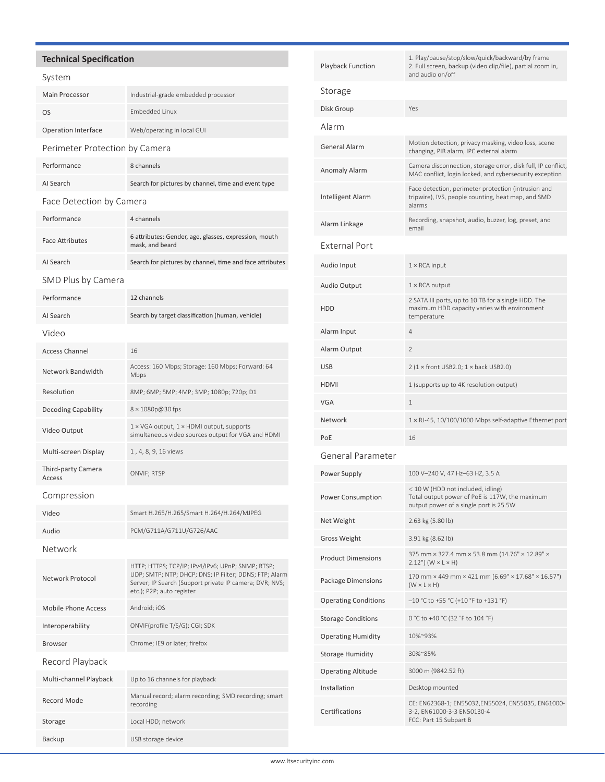## **Technical Specification**

#### System

| Main Processor                 | Industrial-grade embedded processor                 |  |  |
|--------------------------------|-----------------------------------------------------|--|--|
| OS                             | <b>Embedded Linux</b>                               |  |  |
| Operation Interface            | Web/operating in local GUI                          |  |  |
| Perimeter Protection by Camera |                                                     |  |  |
| Performance                    | 8 channels                                          |  |  |
| AI Search                      | Search for pictures by channel, time and event type |  |  |
| Face Detection by Camera       |                                                     |  |  |
| Performance                    | 4 channels                                          |  |  |

| <b>Face Attributes</b> | 6 attributes: Gender, age, glasses, expression, mouth<br>mask, and beard |
|------------------------|--------------------------------------------------------------------------|
| AI Search              | Search for pictures by channel, time and face attributes                 |

## SMD Plus by Camera

| Performance                         | 12 channels                                                                                                                                                                                         |  |
|-------------------------------------|-----------------------------------------------------------------------------------------------------------------------------------------------------------------------------------------------------|--|
| AI Search                           | Search by target classification (human, vehicle)                                                                                                                                                    |  |
| Video                               |                                                                                                                                                                                                     |  |
| <b>Access Channel</b>               | 16                                                                                                                                                                                                  |  |
| Network Bandwidth                   | Access: 160 Mbps; Storage: 160 Mbps; Forward: 64<br>Mbps                                                                                                                                            |  |
| Resolution                          | 8MP; 6MP; 5MP; 4MP; 3MP; 1080p; 720p; D1                                                                                                                                                            |  |
| <b>Decoding Capability</b>          | 8 × 1080p@30 fps                                                                                                                                                                                    |  |
| Video Output                        | 1 × VGA output, 1 × HDMI output, supports<br>simultaneous video sources output for VGA and HDMI                                                                                                     |  |
| Multi-screen Display                | 1, 4, 8, 9, 16 views                                                                                                                                                                                |  |
| Third-party Camera<br><b>Access</b> | ONVIF; RTSP                                                                                                                                                                                         |  |
| Compression                         |                                                                                                                                                                                                     |  |
| Video                               | Smart H.265/H.265/Smart H.264/H.264/MJPEG                                                                                                                                                           |  |
| Audio                               | PCM/G711A/G711U/G726/AAC                                                                                                                                                                            |  |
| Network                             |                                                                                                                                                                                                     |  |
| Network Protocol                    | HTTP; HTTPS; TCP/IP; IPv4/IPv6; UPnP; SNMP; RTSP;<br>UDP; SMTP; NTP; DHCP; DNS; IP Filter; DDNS; FTP; Alarm<br>Server; IP Search (Support private IP camera; DVR; NVS;<br>etc.); P2P; auto register |  |
| <b>Mobile Phone Access</b>          | Android; iOS                                                                                                                                                                                        |  |
| Interoperability                    | ONVIF(profile T/S/G); CGI; SDK                                                                                                                                                                      |  |
| <b>Browser</b>                      | Chrome; IE9 or later; firefox                                                                                                                                                                       |  |
| Record Playback                     |                                                                                                                                                                                                     |  |
| Multi-channel Playback              | Up to 16 channels for playback                                                                                                                                                                      |  |
| <b>Record Mode</b>                  | Manual record; alarm recording; SMD recording; smart<br>recording                                                                                                                                   |  |
| Storage                             | Local HDD; network                                                                                                                                                                                  |  |
| Backup                              | USB storage device                                                                                                                                                                                  |  |

| <b>Playback Function</b>    | 1. Play/pause/stop/slow/quick/backward/by frame<br>2. Full screen, backup (video clip/file), partial zoom in,<br>and audio on/off |  |  |
|-----------------------------|-----------------------------------------------------------------------------------------------------------------------------------|--|--|
| Storage                     |                                                                                                                                   |  |  |
| Disk Group                  | Yes                                                                                                                               |  |  |
| Alarm                       |                                                                                                                                   |  |  |
| General Alarm               | Motion detection, privacy masking, video loss, scene<br>changing, PIR alarm, IPC external alarm                                   |  |  |
| Anomaly Alarm               | Camera disconnection, storage error, disk full, IP conflict,<br>MAC conflict, login locked, and cybersecurity exception           |  |  |
| <b>Intelligent Alarm</b>    | Face detection, perimeter protection (intrusion and<br>tripwire), IVS, people counting, heat map, and SMD<br>alarms               |  |  |
| Alarm Linkage               | Recording, snapshot, audio, buzzer, log, preset, and<br>email                                                                     |  |  |
| <b>External Port</b>        |                                                                                                                                   |  |  |
| Audio Input                 | $1 \times$ RCA input                                                                                                              |  |  |
| Audio Output                | $1 \times$ RCA output                                                                                                             |  |  |
| <b>HDD</b>                  | 2 SATA III ports, up to 10 TB for a single HDD. The<br>maximum HDD capacity varies with environment<br>temperature                |  |  |
| Alarm Input                 | 4                                                                                                                                 |  |  |
| Alarm Output                | $\overline{2}$                                                                                                                    |  |  |
| USB                         | $2(1 \times$ front USB2.0; $1 \times$ back USB2.0)                                                                                |  |  |
| HDMI                        | 1 (supports up to 4K resolution output)                                                                                           |  |  |
| VGA                         | $\mathbf{1}$                                                                                                                      |  |  |
| Network                     | 1 × RJ-45, 10/100/1000 Mbps self-adaptive Ethernet port                                                                           |  |  |
| PoE                         | 16                                                                                                                                |  |  |
| General Parameter           |                                                                                                                                   |  |  |
| Power Supply                | 100 V-240 V, 47 Hz-63 HZ, 3.5 A                                                                                                   |  |  |
| Power Consumption           | < 10 W (HDD not included, idling)<br>Total output power of PoE is 117W, the maximum<br>output power of a single port is 25.5W     |  |  |
| Net Weight                  | 2.63 kg (5.80 lb)                                                                                                                 |  |  |
| Gross Weight                | 3.91 kg (8.62 lb)                                                                                                                 |  |  |
| <b>Product Dimensions</b>   | 375 mm × 327.4 mm × 53.8 mm (14.76" × 12.89" ×<br>$2.12"$ (W $\times$ L $\times$ H)                                               |  |  |
| Package Dimensions          | 170 mm × 449 mm × 421 mm (6.69" × 17.68" × 16.57")<br>$(W \times L \times H)$                                                     |  |  |
| <b>Operating Conditions</b> | $-10$ °C to +55 °C (+10 °F to +131 °F)                                                                                            |  |  |
| <b>Storage Conditions</b>   | 0 °C to +40 °C (32 °F to 104 °F)                                                                                                  |  |  |
| <b>Operating Humidity</b>   | 10%~93%                                                                                                                           |  |  |
| <b>Storage Humidity</b>     | 30%~85%                                                                                                                           |  |  |
| <b>Operating Altitude</b>   | 3000 m (9842.52 ft)                                                                                                               |  |  |
| Installation                | Desktop mounted                                                                                                                   |  |  |
| Certifications              | CE: EN62368-1; EN55032, EN55024, EN55035, EN61000-<br>3-2, EN61000-3-3 EN50130-4<br>FCC: Part 15 Subpart B                        |  |  |